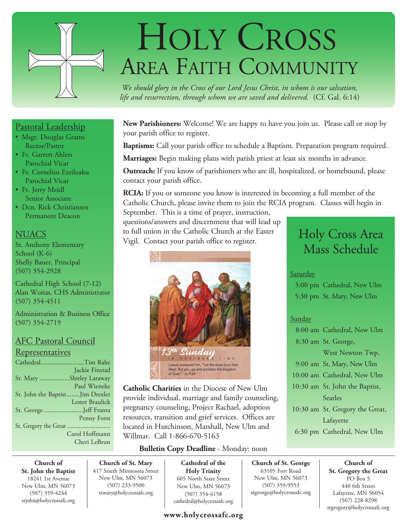

# HOLY CROSS AREA FAITH COMMUNITY

*We should glory in the Cross of our Lord Jesus Christ, in whom is our salvation, life and resurrection, through whom we are saved and delivered.* (Cf. Gal. 6:14)

#### **New Parishioners:** Welcome! We are happy to have you join us. Please call or stop by your parish office to register.

**Baptisms:** Call your parish office to schedule a Baptism. Preparation program required.

**Marriages:** Begin making plans with parish priest at least six months in advance.

**Outreach:** If you know of parishioners who are ill, hospitalized, or homebound, please contact your parish office.

**RCIA:** If you or someone you know is interested in becoming a full member of the Catholic Church, please invite them to join the RCIA program. Classes will begin in

September. This is a time of prayer, instruction, questions/answers and discernment that will lead up to full union in the Catholic Church at the Easter Vigil. Contact your parish office to register.



**Catholic Charities** in the Diocese of New Ulm provide individual, marriage and family counseling, pregnancy counseling, Project Rachael, adoption resources, transition and grief services. Offices are located in Hutchinson, Marshall, New Ulm and Willmar. Call 1-866-670-5163

## **Bulletin Copy Deadline** - Monday: noon

**Church of St. John the Baptist** 18241 1st Avenue New Ulm, MN 56073 (507) 359-4244 stjohn@holycrossafc.org

**Church of St. Mary** 417 South Minnesota Street New Ulm, MN 56073 (507) 233-9500 stmary@holycrossafc.org

**Cathedral of the Holy Trinity** 605 North State Street New Ulm, MN 56073 (507) 354-4158 cathedral@holycrossafc.org

## **www.holycrossafc.org**

## Holy Cross Area Mass Schedule

### **Saturday**

 5:00 pm Cathedral, New Ulm 5:30 pm St. Mary, New Ulm

### Sunday

**Church of St. George** 63105 Fort Road New Ulm, MN 56073 (507) 359-9553 stgeorge@holycrossafc.org

 8:00 am Cathedral, New Ulm 8:30 am St. George, West Newton Twp. 9:00 am St. Mary, New Ulm 10:00 am Cathedral, New Ulm 10:30 am St. John the Baptist, Searles 10:30 am St. Gregory the Great, Lafayette 6:30 pm Cathedral, New Ulm

> **Church of St. Gregory the Great**  PO Box 5 440 6th Street Lafayette, MN 56054 (507) 228-8298 stgregory@holycrossafc.org

## Pastoral Leadership

- Msgr. Douglas Grams Rector/Pastor
- Fr. Garrett Ahlers Parochial Vicar
- Fr. Cornelius Ezeiloaku Parochial Vicar
- Fr. Jerry Meidl Senior Associate
- Dcn. Rick Christiansen Permanent Deacon

## **NUACS**

St. Anthony Elementary School (K-6) Shelly Bauer, Principal (507) 354-2928

Cathedral High School (7-12) Alan Woitas, CHS Administrator (507) 354-4511

Administration & Business Office (507) 354-2719

## AFC Pastoral Council **Representatives**

| CathedralTim Rahe               |                 |
|---------------------------------|-----------------|
|                                 | Jackie Finstad  |
| St. Mary Shirley Laraway        |                 |
|                                 | Paul Wieneke    |
| St. John the BaptistJim Drexler |                 |
|                                 | Lester Braulick |
| St. GeorgeJeff Franta           |                 |
|                                 | Penny Forst     |
|                                 |                 |
|                                 | Carol Hoffmann  |
|                                 | Cheri LeBrun    |
|                                 |                 |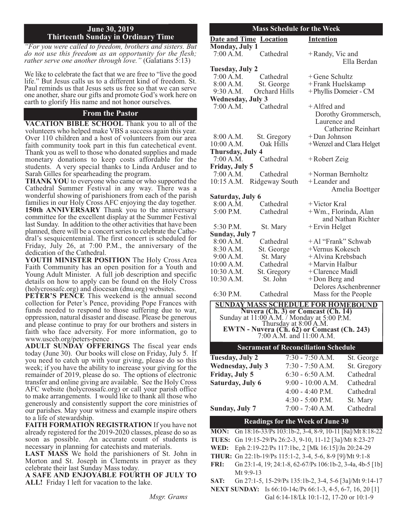#### **June 30, 2019 Thirteenth Sunday in Ordinary Time**

*"For you were called to freedom, brothers and sisters. But do not use this freedom as an opportunity for the flesh; rather serve one another through love."* (Galatians 5:13)

We like to celebrate the fact that we are free to "live the good life." But Jesus calls us to <sup>a</sup> different kind of freedom. St. Paul reminds us that Jesus sets us free so that we can serve one another, share our gifts and promote God's work here on earth to glorify His name and not honor ourselves.

#### **From the Pastor**

**VACATION BIBLE SCHOOL** Thank you to all of the volunteers who helped make VBS a success again this year.<br>Over 110 children and a host of volunteers from our area<br>faith community took part in this fun catechetical event. Thank you as well to those who donated supplies and made monetary donations to keep costs affordable for the students. A very special thanks to Linda Arduser and to Sarah Gilles for spearheading the program.

THANK YOU to everyone who came or who supported the Cathedral Summer Festival in any way. There was a wonderful showing of parishioners from each of the parish families in our Holy Cross AFC enjoying the day together. **150th ANNIVERSARY** Thank you to the anniversary committee for the excellent display at the Summer Festival last Sunday. In addition to the other activities that have been planned, there will be <sup>a</sup> concert series to celebrate the Cathe- dral's sesquicentennial. The first concert is scheduled for Friday, July 26, at 7:00 P.M., the anniversary of the

YOUTH MINISTER POSITION The Holy Cross Area Faith Community has an open position for a Youth and Young Adult Minister. A full job description and specific details on how to apply can be found on the Holy Cross

(holycrossafc.org) and diocesan (dnu.org) websites. **PETER'S PENCE** This weekend is the annual second collection for Peter's Pence, providing Pope Frances with oppression, natural disaster and disease. Please be generous and please continue to pray for our brothers and sisters in faith who face adversity. For more information, go to www.usccb.org/peters-pence.

ADULT SUNDAY OFFERINGS The fiscal year ends today (June 30). Our books will close on Friday, July 5. If you need to catch up with your giving, please do so this week; if you have the ability to increase your giving for the remainder of 2019, please do so. The options of electronic transfer and online giving are available. See the Holy Cross AFC website (holycrossafc.org) or call your parish office to make arrangements. I would like to thank all those who generously and consistently support the core ministries of our parishes. May your witness and example inspire others to <sup>a</sup> life of stewardship. **FAITH FORMATION REGISTRATION** If you have not

already registered for the 2019-2020 classes, please do so as soon as possible. An accurate count of students is necessary in planning for catechists and materials. **LAST MASS** We hold the parishioners of St. John in

Morton and St. Joseph in Clements in prayer as they celebrate their last Sunday Mass today.

celebrate their last Sunday Mass today. **<sup>A</sup> SAFE AND ENJOYABLE FOURTH OF JULY TO ALL!** Friday I left for vacation to the lake.

*Msgr. Grams*

#### **Mass Schedule for the Week**

|                                             | <b>Date and Time Location</b>      | <b>Intention</b>                                                                                                          |  |  |
|---------------------------------------------|------------------------------------|---------------------------------------------------------------------------------------------------------------------------|--|--|
| <b>Monday, July 1</b>                       |                                    |                                                                                                                           |  |  |
| 7:00 A.M.                                   | Cathedral                          | +Randy, Vic and<br>Ella Berdan                                                                                            |  |  |
| Tuesday, July 2                             |                                    |                                                                                                                           |  |  |
| 7:00 A.M.                                   | Cathedral                          | +Gene Schultz                                                                                                             |  |  |
| 8:00 A.M.                                   | St. George                         | +Frank Huelskamp                                                                                                          |  |  |
| 9:30 A.M.                                   | Orchard Hills                      | + Phyllis Domeier - CM                                                                                                    |  |  |
| <b>Wednesday, July 3</b>                    |                                    |                                                                                                                           |  |  |
| 7:00 A.M.                                   | Cathedral                          | +Alfred and<br>Dorothy Grommersch,<br>Laurence and<br><b>Catherine Reinhart</b>                                           |  |  |
| 8:00 A.M.                                   | St. Gregory                        | +Dan Johnson                                                                                                              |  |  |
| 10:00 A.M.                                  | Oak Hills                          | +Wenzel and Clara Helget                                                                                                  |  |  |
| Thursday, July 4                            |                                    |                                                                                                                           |  |  |
| 7:00 A.M.                                   | Cathedral                          | +Robert Zeig                                                                                                              |  |  |
| Friday, July 5                              |                                    |                                                                                                                           |  |  |
| 7:00 A.M.                                   | Cathedral                          | +Norman Bernholtz                                                                                                         |  |  |
| 10:15 A.M.                                  | Ridgeway South                     | +Leander and<br>Amelia Boettger                                                                                           |  |  |
| Saturday, July 6                            |                                    |                                                                                                                           |  |  |
| 8:00 A.M.                                   | Cathedral                          | +Victor Kral                                                                                                              |  |  |
| 5:00 P.M.                                   | Cathedral                          | +Wm., Florinda, Alan<br>and Nathan Richter                                                                                |  |  |
| 5:30 P.M.                                   | St. Mary                           | + Ervin Helget                                                                                                            |  |  |
| <b>Sunday, July 7</b>                       |                                    |                                                                                                                           |  |  |
| 8:00 A.M.                                   | Cathedral                          | +Al "Frank" Schwab                                                                                                        |  |  |
| 8:30 A.M.                                   | St. George                         | +Vernus Kokesch                                                                                                           |  |  |
| 9:00 A.M.                                   | St. Mary                           | +Alvina Krebsbach                                                                                                         |  |  |
| 10:00 A.M.                                  | Cathedral                          | +Marvin Halbur                                                                                                            |  |  |
| 10:30 A.M.                                  | St. Gregory                        | + Clarence Maidl                                                                                                          |  |  |
| 10:30 A.M.                                  | St. John                           | +Don Berg and                                                                                                             |  |  |
|                                             |                                    | Delores Aschenbrenner                                                                                                     |  |  |
| 6:30 P.M.                                   | Cathedral                          | Mass for the People                                                                                                       |  |  |
| <b>SUNDAY MASS SCHEDULE FOR HOMEBOUND</b>   |                                    |                                                                                                                           |  |  |
|                                             | Nuvera (Ch. 3) or Comcast (Ch. 14) |                                                                                                                           |  |  |
|                                             |                                    |                                                                                                                           |  |  |
|                                             |                                    | Sunday at 11:00 A.M. / Monday at 5:00 P.M.<br>Thursday at 8:00 A.M.<br><b>EWTN - Nuvera (Ch. 62) or Comcast (Ch. 243)</b> |  |  |
| 7:00 A.M. and 11:00 A.M.                    |                                    |                                                                                                                           |  |  |
| <b>Sacrament of Reconciliation Schedule</b> |                                    |                                                                                                                           |  |  |
| <b>Tuesday, July 2</b>                      |                                    | 7:30 - 7:50 A.M.<br>St. George                                                                                            |  |  |
| <b>Wednesday, July 3</b>                    |                                    | 7:30 - 7:50 A.M.<br>St. Gregory                                                                                           |  |  |
| Friday, July 5                              |                                    | $6:30 - 6:50 A.M.$<br>Cathedral                                                                                           |  |  |
|                                             |                                    |                                                                                                                           |  |  |

**Saturday, July 6** 9:00 - 10:00 A.M. Cathedral 4:00 - 4:40 P.M. Cathedral 4:30 - 5:00 P.M. St. Mary **Sunday, July 7** 7:00 - 7:40 A.M. Cathedral

#### **Readings for the Week of June 30**

**MON:** Gn 18:16-33/Ps 103:1b-2, 3-4, 8-9, 10-11 [8a]/Mt 8:18-22

- **TUES:** Gn 19:15-29/Ps 26:2-3, 9-10, 11-12 [3a]/Mt 8:23-27
- **WED:** Eph 2:19-22/Ps 117:1bc, 2 [Mk 16:15]/Jn 20:24-29
- **THUR:** Gn 22:1b-19/Ps 115:1-2, 3-4, 5-6, 8-9 [9]/Mt 9:1-8
- **FRI:** Gn 23:1-4, 19; 24:1-8, 62-67/Ps 106:1b-2, 3-4a, 4b-5 [1b] Mt 9:9-13
- **SAT:** Gn 27:1-5, 15-29/Ps 135:1b-2, 3-4, 5-6 [3a]/Mt 9:14-17
- **NExT SUNDAY:** Is 66:10-14c/Ps 66:1-3, 4-5, 6-7, 16, 20 [1] Gal 6:14-18/Lk 10:1-12, 17-20 or 10:1-9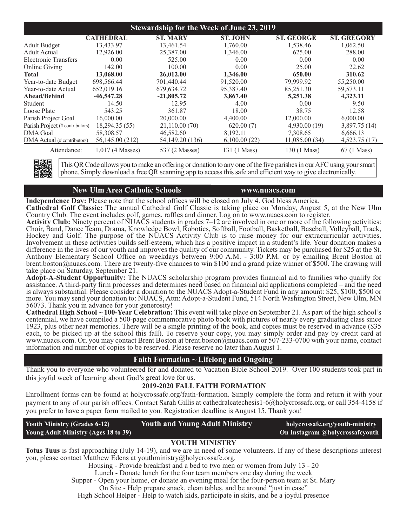| <b>Stewardship for the Week of June 23, 2019</b> |                    |                   |                 |                   |                    |
|--------------------------------------------------|--------------------|-------------------|-----------------|-------------------|--------------------|
|                                                  | <b>CATHEDRAL</b>   | <b>ST. MARY</b>   | <b>ST. JOHN</b> | <b>ST. GEORGE</b> | <b>ST. GREGORY</b> |
| <b>Adult Budget</b>                              | 13,433.97          | 13,461.54         | 1,760.00        | 1,538.46          | 1,062.50           |
| Adult Actual                                     | 12,926.00          | 25,387.00         | 1.346.00        | 625.00            | 288.00             |
| <b>Electronic Transfers</b>                      | 0.00               | 525.00            | 0.00            | 0.00              | 0.00               |
| <b>Online Giving</b>                             | 142.00             | 100.00            | 0.00            | 25.00             | 22.62              |
| Total                                            | 13,068.00          | 26,012.00         | 1,346.00        | 650.00            | 310.62             |
| Year-to-date Budget                              | 698,566.44         | 701,440.44        | 91,520.00       | 79,999.92         | 55,250.00          |
| Year-to-date Actual                              | 652,019.16         | 679,634.72        | 95,387.40       | 85,251.30         | 59,573.11          |
| Ahead/Behind                                     | $-46,547,28$       | $-21,805.72$      | 3,867.40        | 5,251.38          | 4,323.11           |
| <b>Student</b>                                   | 14.50              | 12.95             | 4.00            | 0.00              | 9.50               |
| Loose Plate                                      | 543.25             | 361.87            | 18.00           | 38.75             | 12.58              |
| Parish Project Goal                              | 16,000.00          | 20,000.00         | 4,400.00        | 12,000.00         | 6,000.00           |
| Parish Project (# contributors)                  | 18,294.35 (55)     | 21,110.00 (70)    | 620.00(7)       | 4,930.00(19)      | 3,897.75 (14)      |
| <b>DMA</b> Goal                                  | 58,308.57          | 46,582.60         | 8,192.11        | 7,308.65          | 6,666.13           |
| DMA Actual (# contributors)                      | 56,145.00 (212)    | 54, 149. 20 (136) | 6,100,00(22)    | 11,085.00(34)     | 4,523.75 (17)      |
| Attendance:                                      | $1,017$ (4 Masses) | 537 (2 Masses)    | 131 (1 Mass)    | 130 (1 Mass)      | 67 (1 Mass)        |

This QR Code allows you to make an offering or donation to any one of the five parishes in our AFC using your smart phone. Simply download a free QR scanning app to access this safe and efficient way to give electronically.

#### **New Ulm Area Catholic Schools www.nuacs.com**

Independence Day: Please note that the school offices will be closed on July 4. God bless America.<br>Cathedral Golf Classic: The annual Cathedral Golf Classic is taking place on Monday, August 5, at the New Ulm<br>Country Club.

Activity Club: Ninety percent of NUACS students in grades 7–12 are involved in one or more of the following activities:<br>Choir, Band, Dance Team, Drama, Knowledge Bowl, Robotics, Softball, Football, Basketball, Baseball, Vo Hockey and Golf. The purpose of the NUACS Activity Club is to raise money for our extracurricular activities.<br>Involvement in these activities builds self-esteem, which has a positive impact in a student's life. Your donati Anthony Elementary School Office on weekdays between 9:00 A.M. - 3:00 P.M. or by emailing Brent Boston at brent.boston@nuacs.com. There are twenty-five chances to win \$100 and a grand prize winner of \$500. The drawing will

Adopt-A-Student Opportunity: The NUACS scholarship program provides financial aid to families who qualify for assistance. A third-party firm processes and determines need based on financial aid applications completed – and the need is always substantial. Please consider a donation to the NUACS Adopt-a-Student Fund in any amount: \$25, \$100, \$500 or more. You may send your donation to: NUACS, Attn: Adopt-a-Student Fund, 514 North Washington Street, New Ulm, MN 56073. Thank you in advance for your generosity!

**Cathedral High School ~ 100-Year Celebration:** This event will take place on September 21. As part of the high school's centennial, we have compiled a 500-page commemorative photo book with pictures of nearly every graduating class since 1923, plus other neat memories. There will be a single printing of the book, and copies must be reserved in advance (\$35 each, to be picked up at the school this fall). To reserve your copy, you may simply order and pay by credit card at www.nuacs.com. Or, you may contact Brent Boston at brent.boston@nuacs.com or 507-233-0700 with your name, contact information and number of copies to be reserved. Please reserve no later than August 1.

### **Faith Formation ~ Lifelong and Ongoing**

Thank you to everyone who volunteered for and donated to Vacation Bible School 2019. Over 100 students took par<sup>t</sup> in this joyful week of learning about God's grea<sup>t</sup> love for us.

#### **2019-2020 FALL FAITH FORMATION**

Enrollment forms can be found at holycrossafc.org/faith-formation. Simply complete the form and return it with your paymen<sup>t</sup> to any of our parish offices. Contact Sarah Gillis at cathedralcatechesis1-6@holycrossafc.org, or call 354-4158 if you prefer to have <sup>a</sup> paper form mailed to you. Registration deadline is August 15. Thank you!

**Youth Ministry (Grades 6-12) Youth and Young Adult Ministry holycrossafc.org/youth-ministry**

**Young Adult Ministry (Ages 18 to 39) On Instagram @holycrossafcyouth**

#### **YOUTH MINISTRY**

**Totus Tuus** is fast approaching (July 14-19), and we are in need of some volunteers. If any of these descriptions interest you, please contact Matthew Edens at youthministry@holycrossafc.org.

Housing - Provide breakfast and a bed to two men or women from July 13 - 20

Lunch - Donate lunch for the four team members one day during the week

Supper - Open your home, or donate an evening meal for the four-person team at St. Mary

On Site - Help prepare snack, clean tables, and be around "just in case"

High School Helper - Help to watch kids, participate in skits, and be a joyful presence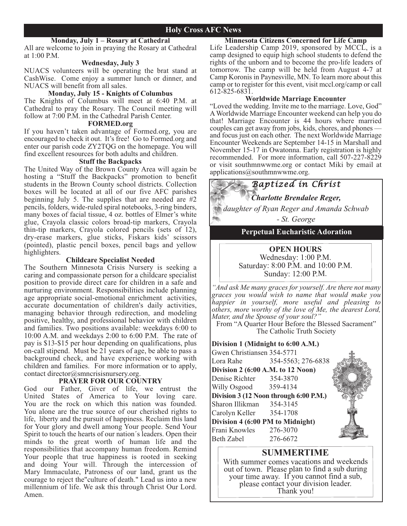#### **Monday, July 1 – Rosary at Cathedral**

All are welcome to join in praying the Rosary at Cathedral at 1:00 P.M.

#### **Wednesday, July 3**

NUACS volunteers will be operating the brat stand at CashWise. Come enjoy a summer lunch or dinner, and NUACS will benefit from all sales.

#### **Monday, July 15 - Knights of Columbus**

The Knights of Columbus will meet at 6:40 P.M. at Cathedral to pray the Rosary. The Council meeting will follow at 7:00 P.M. in the Cathedral Parish Center.

#### **FORMED.org**

If you haven't taken advantage of Formed.org, you are encouraged to check it out. It's free! Go to Formed.org and enter our parish code ZY2TQG on the homepage. You will find excellent resources for both adults and children.

#### **Stuff the Backpacks**

The United Way of the Brown County Area will again be hosting a "Stuff the Backpacks" promotion to benefit students in the Brown County school districts. Collection boxes will be located at all of our five AFC parishes beginning July 5. The supplies that are needed are #2 pencils, folders, wide-ruled spiral notebooks, 3-ring binders, many boxes of facial tissue, 4 oz. bottles of Elmer's white glue, Crayola classic colors broad-tip markers, Crayola thin-tip markers, Crayola colored pencils (sets of 12), dry-erase markers, glue sticks, Fiskars kids' scissors (pointed), plastic pencil boxes, pencil bags and yellow highlighters.

#### **Childcare Specialist Needed**

The Southern Minnesota Crisis Nursery is seeking a caring and compassionate person for a childcare specialist position to provide direct care for children in a safe and nurturing environment. Responsibilities include planning age appropriate social-emotional enrichment activities, accurate documentation of children's daily activities, managing behavior through redirection, and modeling positive, healthy, and professional behavior with children and families. Two positions available: weekdays 6:00 to 10:00 A.M. and weekdays 2:00 to 6:00 P.M. The rate of pay is \$13-\$15 per hour depending on qualifications, plus on-call stipend. Must be  $2\bar{1}$  years of age, be able to pass a background check, and have experience working with children and families. For more information or to apply, contact director@smncrisisnursery.org.

#### **PRAYER FOR OUR COUNTRY**

God our Father, Giver of life, we entrust the United States of America to Your loving care. You are the rock on which this nation was founded. You alone are the true source of our cherished rights to life, liberty and the pursuit of happiness. Reclaim this land for Your glory and dwell among Your people. Send Your Spirit to touch the hearts of our nation´s leaders. Open their minds to the great worth of human life and the responsibilities that accompany human freedom. Remind Your people that true happiness is rooted in seeking and doing Your will. Through the intercession of Mary Immaculate, Patroness of our land, grant us the courage to reject the"culture of death." Lead us into a new millennium of life. We ask this through Christ Our Lord. Amen.

**Minnesota Citizens Concerned for Life Camp** Life Leadership Camp 2019, sponsored by MCCL, is a camp designed to equip high school students to defend the rights of the unborn and to become the pro-life leaders of tomorrow. The camp will be held from August 4-7 at Camp Koronis in Paynesville, MN. To learn more about this camp or to register for this event, visit mccl.org/camp or call 612-825-6831.

#### **Worldwide Marriage Encounter**

"Loved the wedding. Invite me to the marriage. Love, God" AWorldwide Marriage Encounter weekend can help you do that! Marriage Encounter is 44 hours where married and focus just on each other. The next Worldwide Marriage Encounter Weekends are September 14-15 in Marshall and November 15-17 in Owatonna. Early registration is highly recommended. For more information, call 507-227-8229 or visit southmnwwme.org or contact Miki by email at applications@southmnwwme.org.

*Baptized in Christ*

*Charlotte Brendalee Reger,*

*daughter of Ryan Reger and Amanda Schwab - St. George*

#### **Perpetual Eucharistic Adoration**

#### **OPEN HOURS** Wednesday: 1:00 P.M. Saturday: 8:00 P.M. and 10:00 P.M. Sunday: 12:00 P.M.

*"And ask Me many graces for yourself. Are there not many graces you would wish to name that would make you happier in yourself, more useful and pleasing to others, more worthy of the love of Me, the dearest Lord, Mater, and the Spouse of your soul?"*

From "A Quarter Hour Before the Blessed Sacrament" The Catholic Truth Society

#### **Division 1 (Midnight to 6:00 A.M.)**

| Gwen Christiansen 354-5771             |                    |  |
|----------------------------------------|--------------------|--|
| Lora Rahe                              | 354-5563; 276-6838 |  |
| Division 2 (6:00 A.M. to 12 Noon)      |                    |  |
| Denise Richter 354-3870                |                    |  |
| Willy Osgood 359-4134                  |                    |  |
| Division 3 (12 Noon through 6:00 P.M.) |                    |  |
| Sharon Illikman 354-3145               |                    |  |
| Carolyn Keller 354-1708                |                    |  |
| Division 4 (6:00 PM to Midnight)       |                    |  |
| Frani Knowles 276-3070                 |                    |  |
| Beth Zabel                             | 276-6672           |  |

#### **SUMMERTIME**

With summer comes vacations and weekends out of town. Please plan to find <sup>a</sup> sub during your time away. If you cannot find <sup>a</sup> sub, <sup>p</sup>lease contact your division leader. Thank you!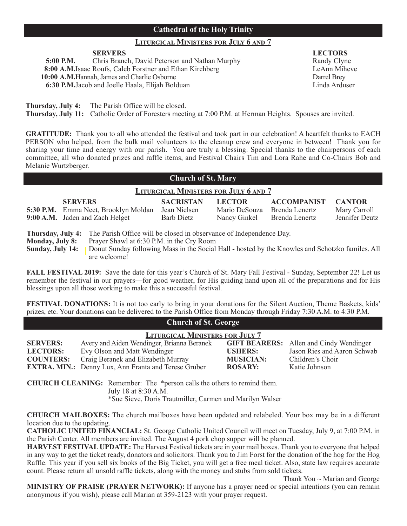#### **Cathedral of the Holy Trinity**

#### **LITURGICAL MINISTERS FOR JULY 6 AND 7**

**5:00 P.M.** Chris Branch, David Peterson and Nathan Murphy Randy Clyne **8:00 A.M.**Isaac Roufs, Caleb Forstner and Ethan Kirchberg LeAnn Miheve **10:00 A.M.**Hannah, James and Charlie Osborne Darrel Brey **6:30 P.M.**Jacob and Joelle Haala, Elijah Bolduan Linda Arduser

**SERVERS LECTORS**

**Thursday, July 4:** The Parish Office will be closed.

**Thursday, July 11:** Catholic Order of Foresters meeting at 7:00 P.M. at Herman Heights. Spouses are invited.

**GRATITUDE:** Thank you to all who attended the festival and took part in our celebration! A heartfelt thanks to EACH PERSON who helped, from the bulk mail volunteers to the cleanup crew and everyone in between! Thank you for sharing your time and energy with our parish. You are truly a blessing. Special thanks to the chairpersons of each committee, all who donated prizes and raffle items, and Festival Chairs Tim and Lora Rahe and Co-Chairs Bob and Melanie Wurtzberger.

#### **Church of St. Mary**

#### **LITURGICAL MINISTERS FOR JULY 6 AND 7**

| <b>SERVERS</b><br>5:30 P.M. Emma Neet, Brooklyn Moldan<br>9:00 A.M. Jaden and Zach Helget                                                                                    | <b>SACRISTAN</b><br>Jean Nielsen<br><b>Barb Dietz</b> | <b>LECTOR</b><br>Mario DeSouza Brenda Lenertz<br>Nancy Ginkel Brenda Lenertz | <b>ACCOMPANIST CANTOR</b> | Mary Carroll<br>Jennifer Deutz |
|------------------------------------------------------------------------------------------------------------------------------------------------------------------------------|-------------------------------------------------------|------------------------------------------------------------------------------|---------------------------|--------------------------------|
| <b>Thursday</b> $\overline{\text{Inl}}$ $\overline{\text{Inl}}$ $\overline{\text{Inl}}$ The Derich Office will be closed in observance of Independence $\overline{\text{D}}$ |                                                       |                                                                              |                           |                                |

**Thursday, July 4:** The Parish Office will be closed in observance of Independence Day.

**Monday, July 8:** Prayer Shawl at 6:30 P.M. in the Cry Room

**Sunday, July 14:** | Donut Sunday following Mass in the Social Hall - hosted by the Knowles and Schotzko familes. All are welcome!

**FALL FESTIVAL 2019:** Save the date for this year's Church of St. Mary Fall Festival - Sunday, September 22! Let us remember the festival in our prayers—for good weather, for His guiding hand upon all of the preparations and for His blessings upon all those working to make this a successful festival.

**FESTIVAL DONATIONS:** It is not too early to bring in your donations for the Silent Auction, Theme Baskets, kids' prizes, etc. Your donations can be delivered to the Parish Office from Monday through Friday 7:30 A.M. to 4:30 P.M.

#### **Church of St. George**

| <b>LITURGICAL MINISTERS FOR JULY 7</b> |                                                             |                  |                                                |
|----------------------------------------|-------------------------------------------------------------|------------------|------------------------------------------------|
| <b>SERVERS:</b>                        | Avery and Aiden Wendinger, Brianna Beranek                  |                  | <b>GIFT BEARERS:</b> Allen and Cindy Wendinger |
| <b>LECTORS:</b>                        | Evy Olson and Matt Wendinger                                | <b>USHERS:</b>   | Jason Ries and Aaron Schwab                    |
| <b>COUNTERS:</b>                       | Craig Beranek and Elizabeth Murray                          | <b>MUSICIAN:</b> | Children's Choir                               |
|                                        | <b>EXTRA. MIN.:</b> Denny Lux, Ann Franta and Terese Gruber | <b>ROSARY:</b>   | Katie Johnson                                  |

**CHURCH CLEANING:** Remember: The \*person calls the others to remind them. July 18 at 8:30 A.M. \*Sue Sieve, Doris Trautmiller, Carmen and Marilyn Walser

**CHURCH MAILBOxES:** The church mailboxes have been updated and relabeled. Your box may be in a different location due to the updating.

**CATHOLIC UNITED FINANCIAL:** St. George Catholic United Council will meet on Tuesday, July 9, at 7:00 P.M. in the Parish Center. All members are invited. The August 4 pork chop supper will be planned.

**HARVEST FESTIVAL UPDATE:** The Harvest Festival tickets are in your mail boxes. Thank you to everyone that helped in any way to get the ticket ready, donators and solicitors. Thank you to Jim Forst for the donation of the hog for the Hog Raffle. This year if you sell six books of the Big Ticket, you will get a free meal ticket. Also, state law requires accurate count. Please return all unsold raffle tickets, along with the money and stubs from sold tickets.

Thank You  $\sim$  Marian and George **MINISTRY OF PRAISE (PRAYER NETWORK):** If anyone has a prayer need or special intentions (you can remain anonymous if you wish), please call Marian at 359-2123 with your prayer request.